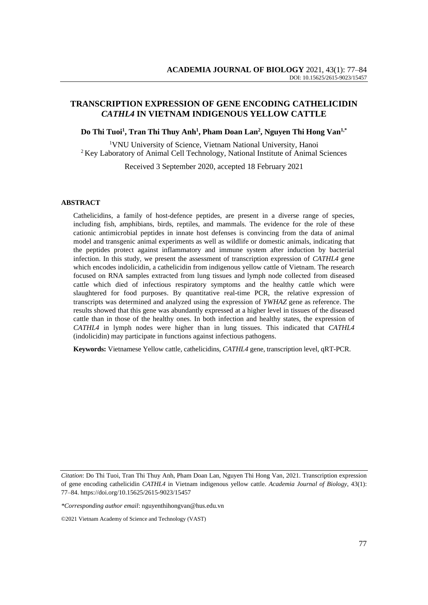# **TRANSCRIPTION EXPRESSION OF GENE ENCODING CATHELICIDIN**  *CATHL4* **IN VIETNAM INDIGENOUS YELLOW CATTLE**

#### **Do Thi Tuoi<sup>1</sup> , Tran Thi Thuy Anh<sup>1</sup> , Pham Doan Lan<sup>2</sup> , Nguyen Thi Hong Van1,\***

<sup>1</sup>VNU University of Science, Vietnam National University, Hanoi <sup>2</sup> Key Laboratory of Animal Cell Technology, National Institute of Animal Sciences

Received 3 September 2020, accepted 18 February 2021

#### **ABSTRACT**

Cathelicidins, a family of host-defence peptides, are present in a diverse range of species, including fish, amphibians, birds, reptiles, and mammals. The evidence for the role of these cationic antimicrobial peptides in innate host defenses is convincing from the data of animal model and transgenic animal experiments as well as wildlife or domestic animals, indicating that the peptides protect against inflammatory and immune system after induction by bacterial infection. In this study, we present the assessment of transcription expression of *CATHL4* gene which encodes indolicidin, a cathelicidin from indigenous yellow cattle of Vietnam. The research focused on RNA samples extracted from lung tissues and lymph node collected from diseased cattle which died of infectious respiratory symptoms and the healthy cattle which were slaughtered for food purposes. By quantitative real-time PCR, the relative expression of transcripts was determined and analyzed using the expression of *YWHAZ* gene as reference. The results showed that this gene was abundantly expressed at a higher level in tissues of the diseased cattle than in those of the healthy ones. In both infection and healthy states, the expression of *CATHL4* in lymph nodes were higher than in lung tissues. This indicated that *CATHL4*  (indolicidin) may participate in functions against infectious pathogens.

**Keywords:** Vietnamese Yellow cattle*,* cathelicidins, *CATHL4* gene, transcription level, qRT-PCR.

*Citation*: Do Thi Tuoi, Tran Thi Thuy Anh, Pham Doan Lan, Nguyen Thi Hong Van, 2021. Transcription expression of gene encoding cathelicidin *CATHL4* in Vietnam indigenous yellow cattle. *Academia Journal of Biology*, 43(1): 77–84. [https://doi.org/1](https://doi.org/)0.15625/2615-9023/15457

*<sup>\*</sup>Corresponding author email*: nguyenthihongvan@hus.edu.vn

<sup>©2021</sup> Vietnam Academy of Science and Technology (VAST)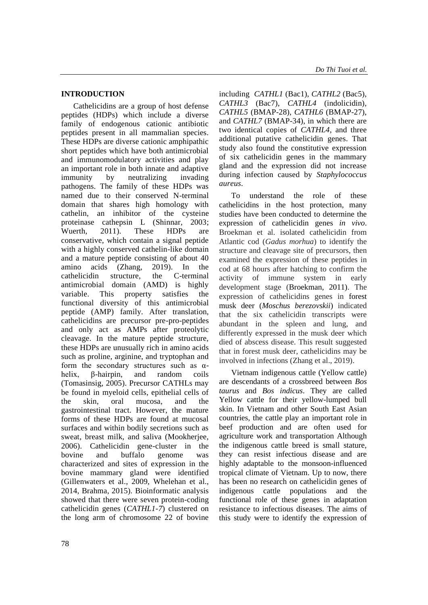## **INTRODUCTION**

Cathelicidins are a group of host defense peptides (HDPs) which include a diverse family of endogenous cationic antibiotic peptides present in all mammalian species. These HDPs are diverse cationic amphipathic short peptides which have both antimicrobial and immunomodulatory activities and play an important role in both innate and adaptive immunity by neutralizing invading pathogens. The family of these HDPs was named due to their conserved N-terminal domain that shares high homology with cathelin, an inhibitor of the cysteine proteinase cathepsin L (Shinnar, 2003; Wuerth, 2011). These HDPs are conservative, which contain a signal peptide with a highly conserved cathelin-like domain and a mature peptide consisting of about 40 amino acids (Zhang, 2019). In the cathelicidin structure, the C-terminal antimicrobial domain (AMD) is highly variable. This property satisfies the functional diversity of this antimicrobial peptide (AMP) family. After translation, cathelicidins are precursor pre-pro-peptides and only act as AMPs after proteolytic cleavage. In the mature peptide structure, these HDPs are unusually rich in amino acids such as proline, arginine, and tryptophan and form the secondary structures such as  $\alpha$ helix, β-hairpin, and random coils (Tomasinsig, 2005). Precursor CATHLs may be found in myeloid cells, epithelial cells of the skin, oral mucosa, and the gastrointestinal tract. However, the mature forms of these HDPs are found at mucosal surfaces and within bodily secretions such as sweat, breast milk, and saliva (Mookherjee, 2006). Cathelicidin gene-cluster in the bovine and buffalo genome was characterized and sites of expression in the bovine mammary gland were identified (Gillenwaters et al., 2009, Whelehan et al., 2014, Brahma, 2015). Bioinformatic analysis showed that there were seven protein-coding cathelicidin genes (*CATHL1-7*) clustered on the long arm of chromosome 22 of bovine

including *CATHL1* (Bac1), *CATHL2* (Bac5), *CATHL3* (Bac7), *CATHL4* (indolicidin), *CATHL5* (BMAP-28), *CATHL6* (BMAP-27), and *CATHL7* (BMAP-34), in which there are two identical copies of *CATHL4*, and three additional putative cathelicidin genes. That study also found the constitutive expression of six cathelicidin genes in the mammary gland and the expression did not increase during infection caused by *Staphylococcus aureus*.

To understand the role of these cathelicidins in the host protection, many studies have been conducted to determine the expression of cathelicidin genes *in vivo*. Broekman et al. isolated cathelicidin from Atlantic cod (*Gadus morhua*) to identify the structure and cleavage site of precursors, then examined the expression of these peptides in cod at 68 hours after hatching to confirm the activity of immune system in early development stage (Broekman, 2011). The expression of cathelicidins genes in forest musk deer (*Moschus berezovskii*) indicated that the six cathelicidin transcripts were abundant in the spleen and lung, and differently expressed in the musk deer which died of abscess disease. This result suggested that in forest musk deer, cathelicidins may be involved in infections (Zhang et al., 2019).

Vietnam indigenous cattle (Yellow cattle) are descendants of a crossbreed between *Bos taurus* and *Bos indicus*. They are called Yellow cattle for their yellow-lumped bull skin. In Vietnam and other South East Asian countries, the cattle play an important role in beef production and are often used for agriculture work and transportation Although the indigenous cattle breed is small stature, they can resist infectious disease and are highly adaptable to the monsoon-influenced tropical climate of Vietnam. Up to now, there has been no research on cathelicidin genes of indigenous cattle populations and the functional role of these genes in adaptation resistance to infectious diseases. The aims of this study were to identify the expression of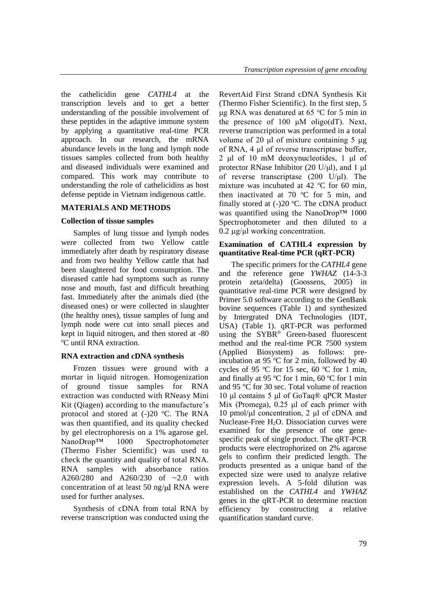the cathelicidin gene *CATHL4* at the transcription levels and to get a better understanding of the possible involvement of these peptides in the adaptive immune system by applying a quantitative real-time PCR approach. In our research, the mRNA abundance levels in the lung and lymph node tissues samples collected from both healthy and diseased individuals were examined and compared. This work may contribute to understanding the role of cathelicidins as host defense peptide in Vietnam indigenous cattle.

#### **MATERIALS AND METHODS**

#### **Collection of tissue samples**

Samples of lung tissue and lymph nodes were collected from two Yellow cattle immediately after death by respiratory disease and from two healthy Yellow cattle that had been slaughtered for food consumption. The diseased cattle had symptoms such as runny nose and mouth, fast and difficult breathing fast. Immediately after the animals died (the diseased ones) or were collected in slaughter (the healthy ones), tissue samples of lung and lymph node were cut into small pieces and kept in liquid nitrogen, and then stored at -80 <sup>o</sup>C until RNA extraction.

#### **RNA extraction and cDNA synthesis**

Frozen tissues were ground with a mortar in liquid nitrogen. Homogenization of ground tissue samples for RNA extraction was conducted with RNeasy Mini Kit (Qiagen) according to the manufacture's protocol and stored at  $(-)20$  °C. The RNA was then quantified, and its quality checked by gel electrophoresis on a 1% agarose gel. NanoDrop™ 1000 Spectrophotometer (Thermo Fisher Scientific) was used to check the quantity and quality of total RNA. RNA samples with absorbance ratios A260/280 and A260/230 of ~2.0 with concentration of at least 50 ng/ $\mu$ l RNA were used for further analyses.

Synthesis of cDNA from total RNA by reverse transcription was conducted using the RevertAid First Strand cDNA Synthesis Kit (Thermo Fisher Scientific). In the first step, 5 μg RNA was denatured at 65  $°C$  for 5 min in the presence of 100  $\mu$ M oligo(dT). Next, reverse transcription was performed in a total volume of 20 μl of mixture containing 5 μg of RNA, 4 μl of reverse transcriptase buffer, 2 μl of 10 mM deoxynucleotides, 1 μl of protector RNase Inhibitor (20 U/μl), and 1 μl of reverse transcriptase (200 U/μl). The mixture was incubated at 42  $\degree$ C for 60 min, then inactivated at 70  $\degree$ C for 5 min, and finally stored at  $(-)20$  °C. The cDNA product was quantified using the NanoDrop™ 1000 Spectrophotometer and then diluted to a  $0.2 \mu$ g/μl working concentration.

### **Examination of CATHL4 expression by quantitative Real-time PCR (qRT-PCR)**

The specific primers for the *CATHL4* gene and the reference gene *YWHAZ* (14-3-3 protein zeta/delta) (Goossens, 2005) in quantitative real-time PCR were designed by Primer 5.0 software according to the GenBank bovine sequences (Table 1) and synthesized by Intergrated DNA Technologies (IDT, USA) (Table 1). qRT-PCR was performed using the SYBR® Green-based fluorescent method and the real-time PCR 7500 system (Applied Biosystem) as follows: preincubation at 95  $\degree$ C for 2 min, followed by 40 cycles of 95  $\degree$ C for 15 sec, 60  $\degree$ C for 1 min, and finally at 95  $\degree$ C for 1 min, 60  $\degree$ C for 1 min and 95 °C for 30 sec. Total volume of reaction 10 μl contains 5 μl of GoTaq® qPCR Master Mix (Promega), 0.25 μl of each primer with  $10 \text{ pmol/μl concentration}$ , 2 μl of cDNA and Nuclease-Free H<sub>2</sub>O. Dissociation curves were examined for the presence of one genespecific peak of single product. The qRT-PCR products were electrophorized on 2% agarose gels to confirm their predicted length. The products presented as a unique band of the expected size were used to analyze relative expression levels. A 5-fold dilution was established on the *CATHL4* and *YWHAZ*  genes in the qRT-PCR to determine reaction efficiency by constructing a relative quantification standard curve.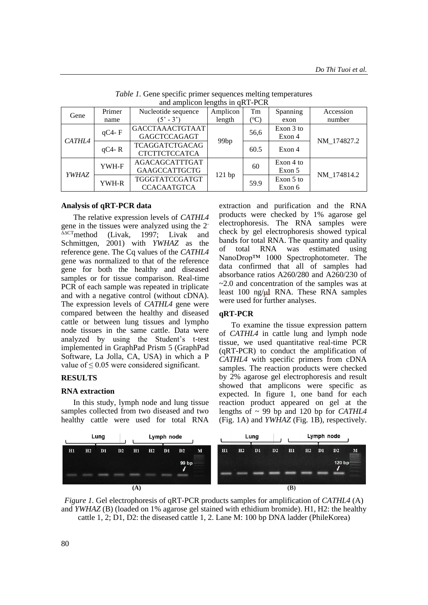| and ampliculi religios in GNT-PUN |              |                           |                  |                 |           |             |  |  |  |  |  |
|-----------------------------------|--------------|---------------------------|------------------|-----------------|-----------|-------------|--|--|--|--|--|
| Gene                              | Primer       | Nucleotide sequence       | Amplicon         | Tm              | Spanning  | Accession   |  |  |  |  |  |
|                                   | name         | $(5^{\circ} - 3^{\circ})$ | length           | $({}^{\circ}C)$ | exon      | number      |  |  |  |  |  |
| <b>CATHL4</b>                     | $qC4 - F$    | <b>GACCTAAACTGTAAT</b>    |                  |                 | Exon 3 to |             |  |  |  |  |  |
|                                   |              | <b>GAGCTCCAGAGT</b>       | 99 <sub>bp</sub> | 56,6            | Exon 4    | NM 174827.2 |  |  |  |  |  |
|                                   | $qC4 - R$    | TCAGGATCTGACAG            |                  | 60.5            | Exon 4    |             |  |  |  |  |  |
|                                   |              | <b>CTCTTCTCCATCA</b>      |                  |                 |           |             |  |  |  |  |  |
| YWHAZ                             | YWH-F        | AGACAGCATTTGAT            |                  |                 | Exon 4 to |             |  |  |  |  |  |
|                                   |              | <b>GAAGCCATTGCTG</b>      |                  | 60              | Exon 5    | NM 174814.2 |  |  |  |  |  |
|                                   | <b>YWH-R</b> | TGGGTATCCGATGT            | 121 bp           | 59.9            | Exon 5 to |             |  |  |  |  |  |
|                                   |              | <b>CCACAATGTCA</b>        |                  |                 | Exon 6    |             |  |  |  |  |  |

*Table 1.* Gene specific primer sequences melting temperatures and amplicon lengths in  $qRT-PCR$ 

#### **Analysis of qRT-PCR data**

The relative expression levels of *CATHL4* gene in the tissues were analyzed using the  $2^{-\Delta\Delta CT}$  method (Livak, 1997; Livak and 1997; Livak and Schmittgen, 2001) with *YWHAZ* as the reference gene. The Cq values of the *CATHL4* gene was normalized to that of the reference gene for both the healthy and diseased samples or for tissue comparison. Real-time PCR of each sample was repeated in triplicate and with a negative control (without cDNA). The expression levels of *CATHL4* gene were compared between the healthy and diseased cattle or between lung tissues and lympho node tissues in the same cattle. Data were analyzed by using the Student's t-test implemented in GraphPad Prism 5 (GraphPad Software, La Jolla, CA, USA) in which a P value of  $\leq 0.05$  were considered significant.

# **RESULTS**

### **RNA extraction**

In this study, lymph node and lung tissue samples collected from two diseased and two healthy cattle were used for total RNA extraction and purification and the RNA products were checked by 1% agarose gel electrophoresis. The RNA samples were check by gel electrophoresis showed typical bands for total RNA. The quantity and quality of total RNA was estimated using NanoDrop™ 1000 Spectrophotometer. The data confirmed that all of samples had absorbance ratios A260/280 and A260/230 of  $\sim$ 2.0 and concentration of the samples was at least 100 ng/ $\mu$  RNA. These RNA samples were used for further analyses.

## **qRT-PCR**

To examine the tissue expression pattern of *CATHL4* in cattle lung and lymph node tissue, we used quantitative real-time PCR (qRT-PCR) to conduct the amplification of *CATHL4* with specific primers from cDNA samples. The reaction products were checked by 2% agarose gel electrophoresis and result showed that amplicons were specific as expected. In figure 1, one band for each reaction product appeared on gel at the lengths of ~ 99 bp and 120 bp for *CATHL4* (Fig. 1A) and *YWHAZ* (Fig. 1B), respectively.

| Lung |                |                | Lymph node |     |    |    | Lung  |   |    |    | Lymph node |    |    |    |                |        |   |  |
|------|----------------|----------------|------------|-----|----|----|-------|---|----|----|------------|----|----|----|----------------|--------|---|--|
| H1   | H <sub>2</sub> | D <sub>1</sub> | D2         | H1  | H2 | D1 | D2    | M | H1 | H2 | D1         | D2 | H1 | H2 | D <sub>1</sub> | D2     | M |  |
|      |                |                |            |     |    |    | 99 bp |   |    |    |            |    |    |    |                | 120 bp |   |  |
|      |                |                |            | (A) |    |    |       |   |    |    |            |    | (B |    |                |        |   |  |

*Figure 1.* Gel electrophoresis of qRT-PCR products samples for amplification of *CATHL4* (A) and *YWHAZ* (B) (loaded on 1% agarose gel stained with ethidium bromide). H1, H2: the healthy cattle 1, 2; D1, D2: the diseased cattle 1, 2. Lane M: 100 bp DNA ladder (PhileKorea)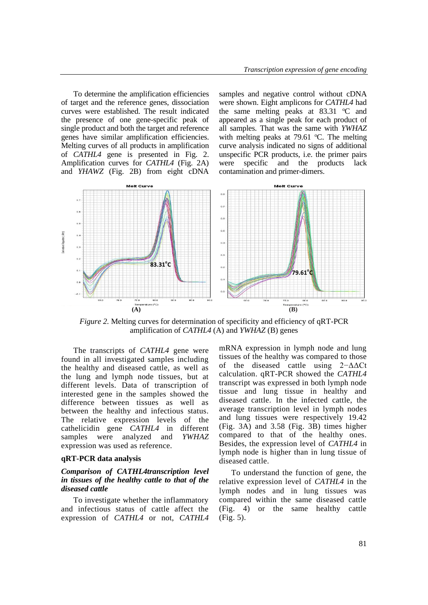To determine the amplification efficiencies of target and the reference genes, dissociation curves were established. The result indicated the presence of one gene-specific peak of single product and both the target and reference genes have similar amplification efficiencies. Melting curves of all products in amplification of *CATHL4* gene is presented in Fig. 2. Amplification curves for *CATHL4* (Fig. 2A) and *YHAWZ* (Fig. 2B) from eight cDNA

samples and negative control without cDNA were shown. Eight amplicons for *CATHL4* had the same melting peaks at  $83.31$  °C and appeared as a single peak for each product of all samples. That was the same with *YWHAZ*  with melting peaks at 79.61  $°C$ . The melting curve analysis indicated no signs of additional unspecific PCR products, i.e. the primer pairs were specific and the products lack contamination and primer-dimers.



*Figure 2.* Melting curves for determination of specificity and efficiency of qRT-PCR amplification of *CATHL4* (A) and *YWHAZ* (B) genes

The transcripts of *CATHL4* gene were found in all investigated samples including the healthy and diseased cattle, as well as the lung and lymph node tissues, but at different levels. Data of transcription of interested gene in the samples showed the difference between tissues as well as between the healthy and infectious status. The relative expression levels of the cathelicidin gene *CATHL4* in different samples were analyzed and *YWHAZ* expression was used as reference.

### **qRT-PCR data analysis**

#### *Comparison of CATHL4transcription level in tissues of the healthy cattle to that of the diseased cattle*

To investigate whether the inflammatory and infectious status of cattle affect the expression of *CATHL4* or not, *CATHL4*  mRNA expression in lymph node and lung tissues of the healthy was compared to those of the diseased cattle using 2−ΔΔCt calculation. qRT-PCR showed the *CATHL4*  transcript was expressed in both lymph node tissue and lung tissue in healthy and diseased cattle. In the infected cattle, the average transcription level in lymph nodes and lung tissues were respectively 19.42 (Fig. 3A) and 3.58 (Fig. 3B) times higher compared to that of the healthy ones. Besides, the expression level of *CATHL4* in lymph node is higher than in lung tissue of diseased cattle.

To understand the function of gene, the relative expression level of *CATHL4* in the lymph nodes and in lung tissues was compared within the same diseased cattle (Fig. 4) or the same healthy cattle (Fig. 5).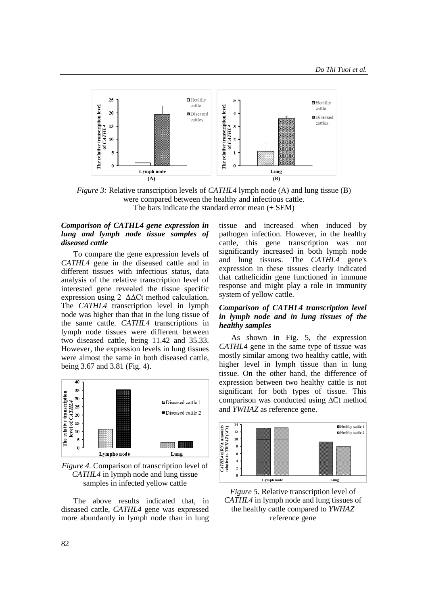

*Figure 3:* Relative transcription levels of *CATHL4* lymph node (A) and lung tissue (B) were compared between the healthy and infectious cattle. The bars indicate the standard error mean  $(\pm$  SEM)

## *Comparison of CATHL4 gene expression in lung and lymph node tissue samples of diseased cattle*

To compare the gene expression levels of *CATHL4* gene in the diseased cattle and in different tissues with infectious status, data analysis of the relative transcription level of interested gene revealed the tissue specific expression using 2−ΔΔCt method calculation. The *CATHL4* transcription level in lymph node was higher than that in the lung tissue of the same cattle. *CATHL4* transcriptions in lymph node tissues were different between two diseased cattle, being 11.42 and 35.33. However, the expression levels in lung tissues were almost the same in both diseased cattle, being 3.67 and 3.81 (Fig. 4).



*Figure 4.* Comparison of transcription level of *CATHL4* in lymph node and lung tissue samples in infected yellow cattle

The above results indicated that, in diseased cattle, *CATHL4* gene was expressed more abundantly in lymph node than in lung tissue and increased when induced by pathogen infection. However, in the healthy cattle, this gene transcription was not significantly increased in both lymph node and lung tissues. The *CATHL4* gene's expression in these tissues clearly indicated that cathelicidin gene functioned in immune response and might play a role in immunity system of yellow cattle.

### *Comparison of CATHL4 transcription level in lymph node and in lung tissues of the healthy samples*

As shown in Fig. 5, the expression *CATHL4* gene in the same type of tissue was mostly similar among two healthy cattle, with higher level in lymph tissue than in lung tissue. On the other hand, the difference of expression between two healthy cattle is not significant for both types of tissue. This comparison was conducted using **∆**Ct method and *YWHAZ* as reference gene.



*Figure 5.* Relative transcription level of *CATHL4* in lymph node and lung tissues of the healthy cattle compared to *YWHAZ*  reference gene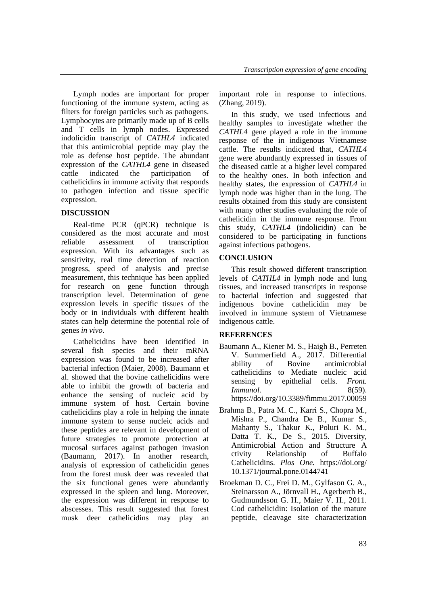Lymph nodes are important for proper functioning of the immune system, acting as filters for foreign particles such as pathogens. Lymphocytes are primarily made up of B cells and T cells in lymph nodes. Expressed indolicidin transcript of *CATHL4* indicated that this antimicrobial peptide may play the role as defense host peptide. The abundant expression of the *CATHL4* gene in diseased cattle indicated the participation of cathelicidins in immune activity that responds to pathogen infection and tissue specific expression.

# **DISCUSSION**

Real-time PCR (qPCR) technique is considered as the most accurate and most reliable assessment of transcription expression. With its advantages such as sensitivity, real time detection of reaction progress, speed of analysis and precise measurement, this technique has been applied for research on gene function through transcription level. Determination of gene expression levels in specific tissues of the body or in individuals with different health states can help determine the potential role of genes *in vivo*.

Cathelicidins have been identified in several fish species and their mRNA expression was found to be increased after bacterial infection (Maier, 2008). Baumann et al. showed that the bovine cathelicidins were able to inhibit the growth of bacteria and enhance the sensing of nucleic acid by immune system of host. Certain bovine cathelicidins play a role in helping the innate immune system to sense nucleic acids and these peptides are relevant in development of future strategies to promote protection at mucosal surfaces against pathogen invasion (Baumann, 2017). In another research, analysis of expression of cathelicidin genes from the forest musk deer was revealed that the six functional genes were abundantly expressed in the spleen and lung. Moreover, the expression was different in response to abscesses. This result suggested that forest musk deer cathelicidins may play an

important role in response to infections. (Zhang, 2019).

In this study, we used infectious and healthy samples to investigate whether the *CATHL4* gene played a role in the immune response of the in indigenous Vietnamese cattle. The results indicated that, *CATHL4*  gene were abundantly expressed in tissues of the diseased cattle at a higher level compared to the healthy ones. In both infection and healthy states, the expression of *CATHL4* in lymph node was higher than in the lung. The results obtained from this study are consistent with many other studies evaluating the role of cathelicidin in the immune response. From this study, *CATHL4* (indolicidin) can be considered to be participating in functions against infectious pathogens.

# **CONCLUSION**

This result showed different transcription levels of *CATHL4* in lymph node and lung tissues, and increased transcripts in response to bacterial infection and suggested that indigenous bovine cathelicidin may be involved in immune system of Vietnamese indigenous cattle.

# **REFERENCES**

- Baumann A., Kiener M. S., Haigh B., Perreten V. Summerfield A., 2017. Differential ability of Bovine antimicrobial cathelicidins to Mediate nucleic acid sensing by epithelial cells. *Front. Immunol.* 8(59). https://doi.org/10.3389/fimmu.2017.00059
- Brahma B., Patra M. C., Karri S., Chopra M., Mishra P., Chandra De B., Kumar S., Mahanty S., Thakur K., Poluri K. M., Datta T. K., De S., 2015. Diversity, Antimicrobial Action and Structure A ctivity Relationship of Buffalo Cathelicidins. *Plos One.* https://doi.org/ 10.1371/journal.pone.0144741
- Broekman D. C., Frei D. M., Gylfason G. A., Steinarsson A., Jörnvall H., Agerberth B., Gudmundsson G. H., Maier V. H., 2011. Cod cathelicidin: Isolation of the mature peptide, cleavage site characterization